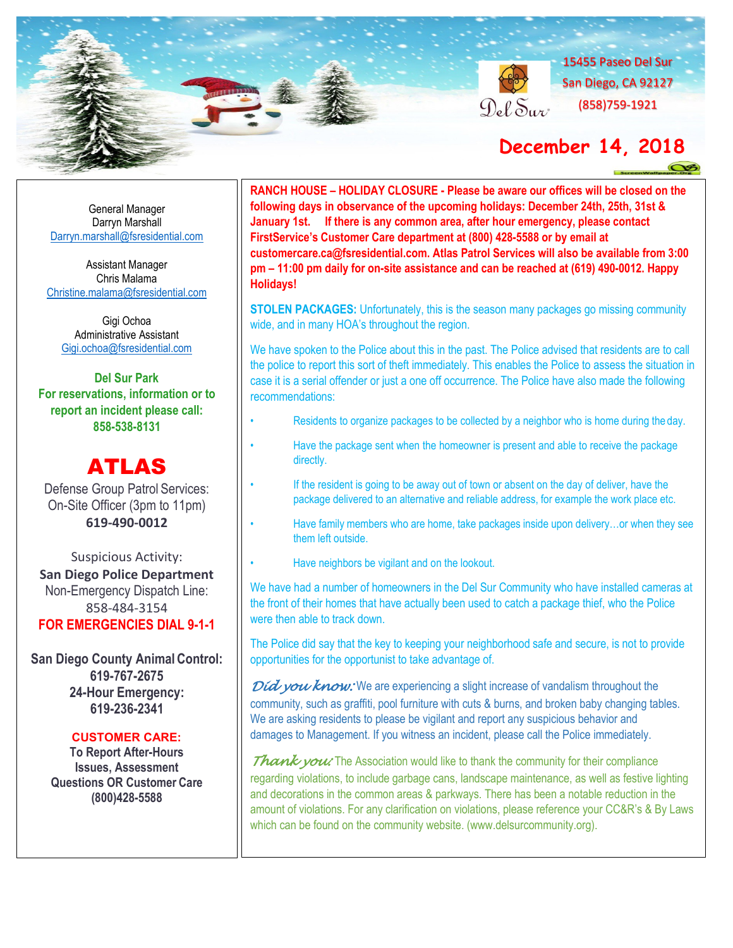

General Manager Darryn Marshall [Darryn.marshall@fsresidential.com](mailto:Darryn.marshall@fsresidential.com)

Assistant Manager Chris Malama [Christine.malama@fsresidential.com](mailto:Christine.malama@fsresidential.com)

Gigi Ochoa Administrative Assistant [Gigi.ochoa@fsresidential.com](mailto:Gigi.ochoa@fsresidential.com)

**Del Sur Park For reservations, information or to report an incident please call: 858-538-8131**

# ATLAS

Defense Group Patrol Services: On-Site Officer (3pm to 11pm) **619-490-0012**

Suspicious Activity: **San Diego Police Department**  Non-Emergency Dispatch Line: 858-484-3154 **FOR EMERGENCIES DIAL 9-1-1**

**San Diego County Animal Control: 619-767-2675 24-Hour Emergency: 619-236-2341**

### **CUSTOMER CARE:**

**To Report After-Hours Issues, Assessment Questions OR Customer Care (800)428-5588**

**RANCH HOUSE – HOLIDAY CLOSURE - Please be aware our offices will be closed on the following days in observance of the upcoming holidays: December 24th, 25th, 31st & January 1st. If there is any common area, after hour emergency, please contact FirstService's Customer Care department at (800) 428-5588 or by email at [customercare.ca@fsresidential.com.](mailto:customercare.ca@fsresidential.com) Atlas Patrol Services will also be available from 3:00 pm – 11:00 pm daily for on-site assistance and can be reached at (619) 490-0012. Happy Holidays!**

**STOLEN PACKAGES:** Unfortunately, this is the season many packages go missing community wide, and in many HOA's throughout the region.

We have spoken to the Police about this in the past. The Police advised that residents are to call the police to report this sort of theft immediately. This enables the Police to assess the situation in case it is a serial offender or just a one off occurrence. The Police have also made the following recommendations:

- Residents to organize packages to be collected by a neighbor who is home during the day.
- Have the package sent when the homeowner is present and able to receive the package directly.
- If the resident is going to be away out of town or absent on the day of deliver, have the package delivered to an alternative and reliable address, for example the work place etc.
- Have family members who are home, take packages inside upon delivery...or when they see them left outside.
- Have neighbors be vigilant and on the lookout.

We have had a number of homeowners in the Del Sur Community who have installed cameras at the front of their homes that have actually been used to catch a package thief, who the Police were then able to track down.

The Police did say that the key to keeping your neighborhood safe and secure, is not to provide opportunities for the opportunist to take advantage of.

*Did you know:* We are experiencing a slight increase of vandalism throughout the community, such as graffiti, pool furniture with cuts & burns, and broken baby changing tables. We are asking residents to please be vigilant and report any suspicious behavior and damages to Management. If you witness an incident, please call the Police immediately.

*Thank you:* The Association would like to thank the community for their compliance regarding violations, to include garbage cans, landscape maintenance, as well as festive lighting and decorations in the common areas & parkways. There has been a notable reduction in the amount of violations. For any clarification on violations, please reference your CC&R's & By Laws which can be found on the community website. (www.delsurcommunity.org).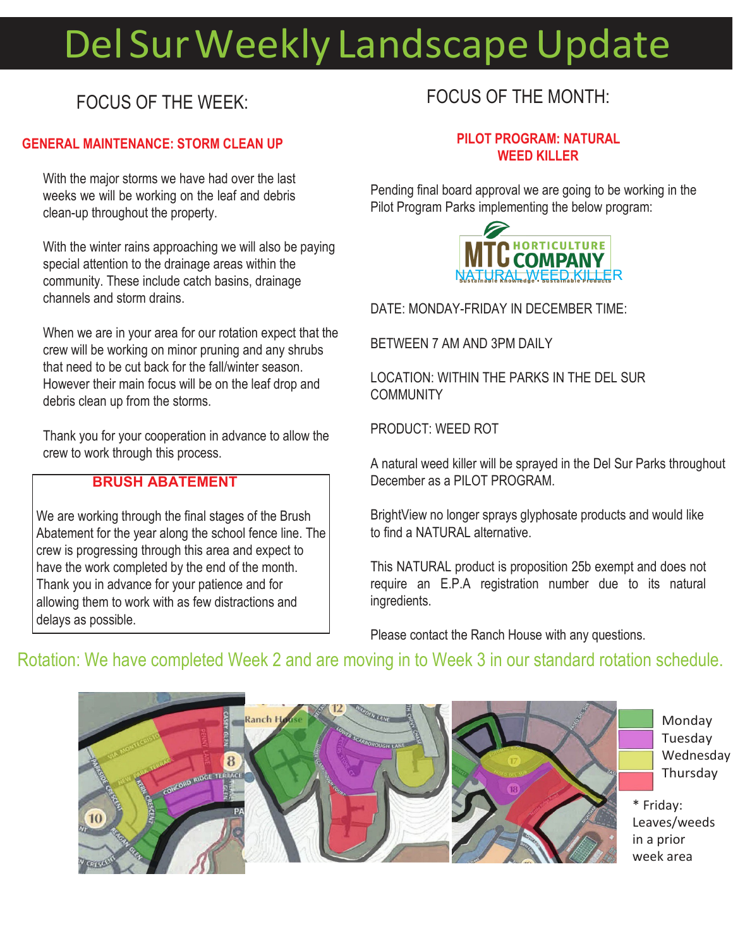# Del Sur Weekly Landscape Update

## FOCUS OF THE WEEK:

### **GENERAL MAINTENANCE: STORM CLEAN UP**

With the major storms we have had over the last weeks we will be working on the leaf and debris clean-up throughout the property.

With the winter rains approaching we will also be paying special attention to the drainage areas within the community. These include catch basins, drainage channels and storm drains.

When we are in your area for our rotation expect that the crew will be working on minor pruning and any shrubs that need to be cut back for the fall/winter season. However their main focus will be on the leaf drop and debris clean up from the storms.

Thank you for your cooperation in advance to allow the crew to work through this process.

### **BRUSH ABATEMENT**

We are working through the final stages of the Brush Abatement for the year along the school fence line. The crew is progressing through this area and expect to have the work completed by the end of the month. Thank you in advance for your patience and for allowing them to work with as few distractions and delays as possible.

### FOCUS OF THE MONTH:

### **PILOT PROGRAM: NATURAL WEED KILLER**

Pending final board approval we are going to be working in the Pilot Program Parks implementing the below program:



DATE: MONDAY-FRIDAY IN DECEMBER TIME:

BETWEEN 7 AM AND 3PM DAILY

LOCATION: WITHIN THE PARKS IN THE DEL SUR **COMMUNITY** 

PRODUCT: WEED ROT

A natural weed killer will be sprayed in the Del Sur Parks throughout December as a PILOT PROGRAM.

BrightView no longer sprays glyphosate products and would like to find a NATURAL alternative.

This NATURAL product is proposition 25b exempt and does not require an E.P.A registration number due to its natural ingredients.

Please contact the Ranch House with any questions.

### Rotation: We have completed Week 2 and are moving in to Week 3 in our standard rotation schedule.

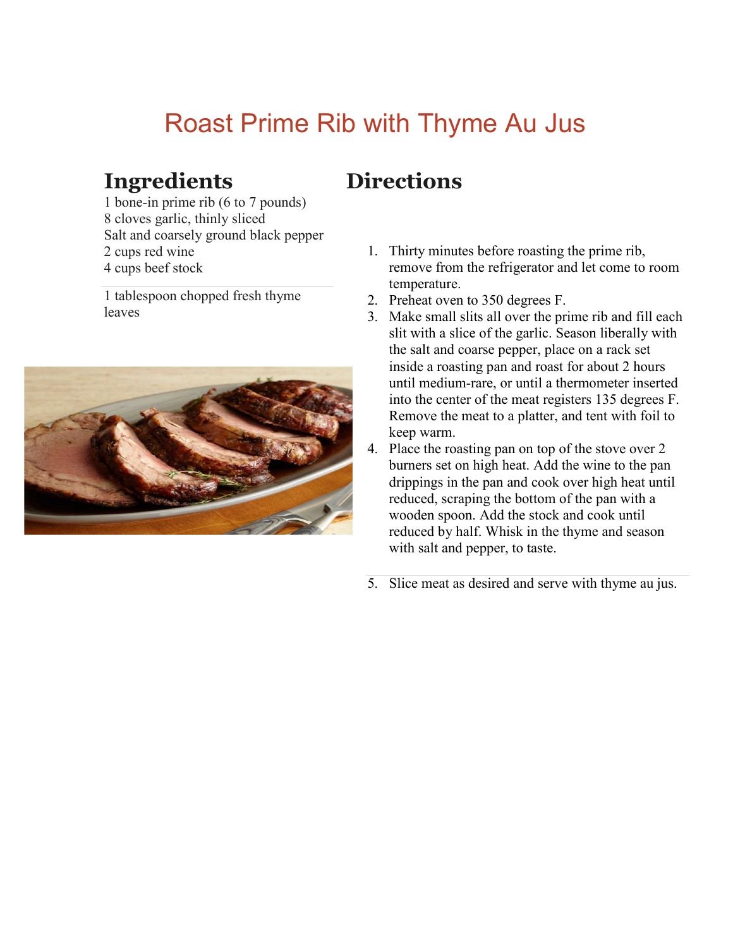# Roast Prime Rib with Thyme Au Jus

## **Ingredients**

1 bone-in prime rib (6 to 7 pounds) 8 cloves garlic, thinly sliced Salt and coarsely ground black pepper 2 cups red wine 4 cups beef stock

1 tablespoon chopped fresh thyme leaves



# **Directions**

- 1. Thirty minutes before roasting the prime rib, remove from the refrigerator and let come to room temperature.
- 2. Preheat oven to 350 degrees F.
- 3. Make small slits all over the prime rib and fill each slit with a slice of the garlic. Season liberally with the salt and coarse pepper, place on a rack set inside a roasting pan and roast for about 2 hours until medium-rare, or until a thermometer inserted into the center of the meat registers 135 degrees F. Remove the meat to a platter, and tent with foil to keep warm.
- 4. Place the roasting pan on top of the stove over 2 burners set on high heat. Add the wine to the pan drippings in the pan and cook over high heat until reduced, scraping the bottom of the pan with a wooden spoon. Add the stock and cook until reduced by half. Whisk in the thyme and season with salt and pepper, to taste.
- 5. Slice meat as desired and serve with thyme au jus.